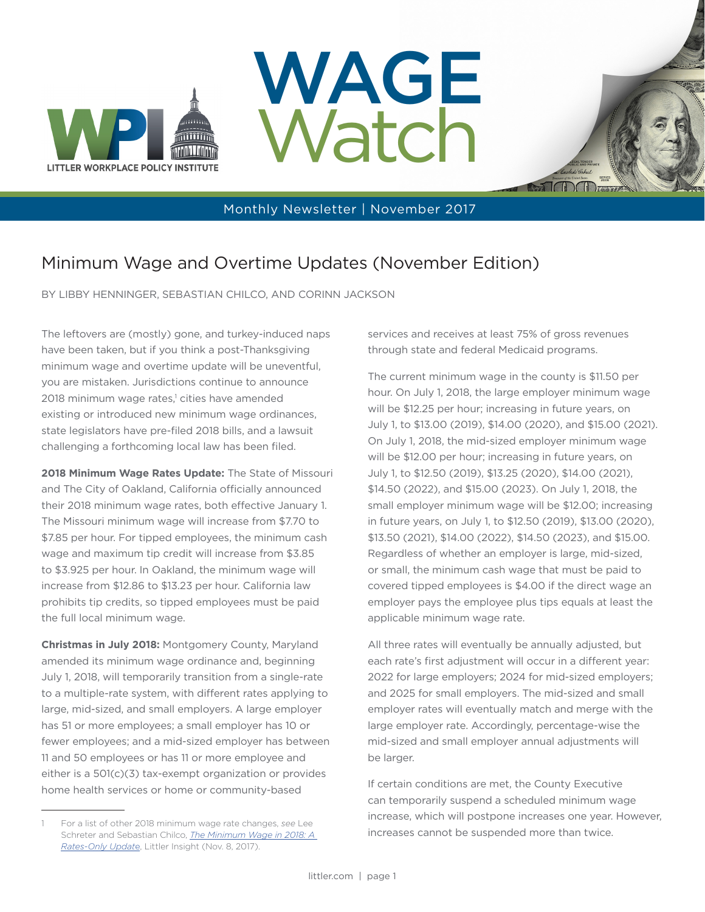





STOOT

## Minimum Wage and Overtime Updates (November Edition)

BY LIBBY HENNINGER, SEBASTIAN CHILCO, AND CORINN JACKSON

The leftovers are (mostly) gone, and turkey-induced naps have been taken, but if you think a post-Thanksgiving minimum wage and overtime update will be uneventful, you are mistaken. Jurisdictions continue to announce 2018 minimum wage rates,<sup>1</sup> cities have amended existing or introduced new minimum wage ordinances, state legislators have pre-filed 2018 bills, and a lawsuit challenging a forthcoming local law has been filed.

**2018 Minimum Wage Rates Update:** The State of Missouri and The City of Oakland, California officially announced their 2018 minimum wage rates, both effective January 1. The Missouri minimum wage will increase from \$7.70 to \$7.85 per hour. For tipped employees, the minimum cash wage and maximum tip credit will increase from \$3.85 to \$3.925 per hour. In Oakland, the minimum wage will increase from \$12.86 to \$13.23 per hour. California law prohibits tip credits, so tipped employees must be paid the full local minimum wage.

**Christmas in July 2018:** Montgomery County, Maryland amended its minimum wage ordinance and, beginning July 1, 2018, will temporarily transition from a single-rate to a multiple-rate system, with different rates applying to large, mid-sized, and small employers. A large employer has 51 or more employees; a small employer has 10 or fewer employees; and a mid-sized employer has between 11 and 50 employees or has 11 or more employee and either is a 501(c)(3) tax-exempt organization or provides home health services or home or community-based

services and receives at least 75% of gross revenues through state and federal Medicaid programs.

The current minimum wage in the county is \$11.50 per hour. On July 1, 2018, the large employer minimum wage will be \$12.25 per hour; increasing in future years, on July 1, to \$13.00 (2019), \$14.00 (2020), and \$15.00 (2021). On July 1, 2018, the mid-sized employer minimum wage will be \$12.00 per hour; increasing in future years, on July 1, to \$12.50 (2019), \$13.25 (2020), \$14.00 (2021), \$14.50 (2022), and \$15.00 (2023). On July 1, 2018, the small employer minimum wage will be \$12.00; increasing in future years, on July 1, to \$12.50 (2019), \$13.00 (2020), \$13.50 (2021), \$14.00 (2022), \$14.50 (2023), and \$15.00. Regardless of whether an employer is large, mid-sized, or small, the minimum cash wage that must be paid to covered tipped employees is \$4.00 if the direct wage an employer pays the employee plus tips equals at least the applicable minimum wage rate.

All three rates will eventually be annually adjusted, but each rate's first adjustment will occur in a different year: 2022 for large employers; 2024 for mid-sized employers; and 2025 for small employers. The mid-sized and small employer rates will eventually match and merge with the large employer rate. Accordingly, percentage-wise the mid-sized and small employer annual adjustments will be larger.

If certain conditions are met, the County Executive can temporarily suspend a scheduled minimum wage increase, which will postpone increases one year. However, increases cannot be suspended more than twice.

<sup>1</sup> For a list of other 2018 minimum wage rate changes, *see* Lee Schreter and Sebastian Chilco, *[The Minimum Wage in 2018: A](https://www.littler.com/publication-press/publication/minimum-wage-2018-rates-only-update)  [Rates-Only Updat](https://www.littler.com/publication-press/publication/minimum-wage-2018-rates-only-update)*e, Littler Insight (Nov. 8, 2017).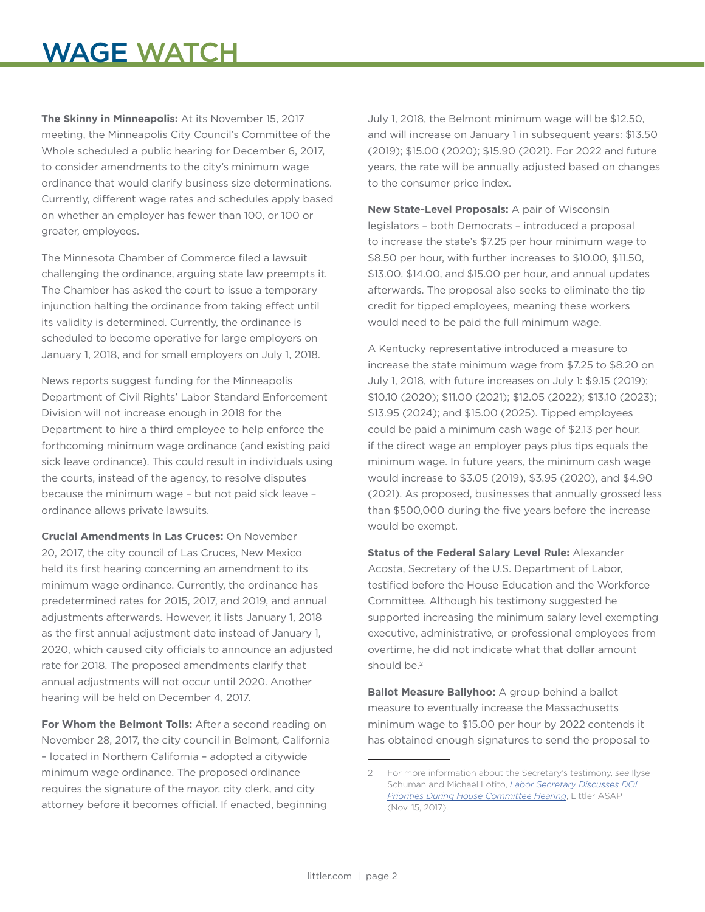## WAGE WATCH

**The Skinny in Minneapolis:** At its November 15, 2017 meeting, the Minneapolis City Council's Committee of the Whole scheduled a public hearing for December 6, 2017, to consider amendments to the city's minimum wage ordinance that would clarify business size determinations. Currently, different wage rates and schedules apply based on whether an employer has fewer than 100, or 100 or greater, employees.

The Minnesota Chamber of Commerce filed a lawsuit challenging the ordinance, arguing state law preempts it. The Chamber has asked the court to issue a temporary injunction halting the ordinance from taking effect until its validity is determined. Currently, the ordinance is scheduled to become operative for large employers on January 1, 2018, and for small employers on July 1, 2018.

News reports suggest funding for the Minneapolis Department of Civil Rights' Labor Standard Enforcement Division will not increase enough in 2018 for the Department to hire a third employee to help enforce the forthcoming minimum wage ordinance (and existing paid sick leave ordinance). This could result in individuals using the courts, instead of the agency, to resolve disputes because the minimum wage – but not paid sick leave – ordinance allows private lawsuits.

**Crucial Amendments in Las Cruces:** On November 20, 2017, the city council of Las Cruces, New Mexico held its first hearing concerning an amendment to its minimum wage ordinance. Currently, the ordinance has predetermined rates for 2015, 2017, and 2019, and annual adjustments afterwards. However, it lists January 1, 2018 as the first annual adjustment date instead of January 1, 2020, which caused city officials to announce an adjusted rate for 2018. The proposed amendments clarify that annual adjustments will not occur until 2020. Another hearing will be held on December 4, 2017.

**For Whom the Belmont Tolls:** After a second reading on November 28, 2017, the city council in Belmont, California – located in Northern California – adopted a citywide minimum wage ordinance. The proposed ordinance requires the signature of the mayor, city clerk, and city attorney before it becomes official. If enacted, beginning

July 1, 2018, the Belmont minimum wage will be \$12.50, and will increase on January 1 in subsequent years: \$13.50 (2019); \$15.00 (2020); \$15.90 (2021). For 2022 and future years, the rate will be annually adjusted based on changes to the consumer price index.

**New State-Level Proposals:** A pair of Wisconsin legislators – both Democrats – introduced a proposal to increase the state's \$7.25 per hour minimum wage to \$8.50 per hour, with further increases to \$10.00, \$11.50, \$13.00, \$14.00, and \$15.00 per hour, and annual updates afterwards. The proposal also seeks to eliminate the tip credit for tipped employees, meaning these workers would need to be paid the full minimum wage.

A Kentucky representative introduced a measure to increase the state minimum wage from \$7.25 to \$8.20 on July 1, 2018, with future increases on July 1: \$9.15 (2019); \$10.10 (2020); \$11.00 (2021); \$12.05 (2022); \$13.10 (2023); \$13.95 (2024); and \$15.00 (2025). Tipped employees could be paid a minimum cash wage of \$2.13 per hour, if the direct wage an employer pays plus tips equals the minimum wage. In future years, the minimum cash wage would increase to \$3.05 (2019), \$3.95 (2020), and \$4.90 (2021). As proposed, businesses that annually grossed less than \$500,000 during the five years before the increase would be exempt.

**Status of the Federal Salary Level Rule:** Alexander Acosta, Secretary of the U.S. Department of Labor, testified before the House Education and the Workforce Committee. Although his testimony suggested he supported increasing the minimum salary level exempting executive, administrative, or professional employees from overtime, he did not indicate what that dollar amount should be.<sup>2</sup>

**Ballot Measure Ballyhoo:** A group behind a ballot measure to eventually increase the Massachusetts minimum wage to \$15.00 per hour by 2022 contends it has obtained enough signatures to send the proposal to

<sup>2</sup> For more information about the Secretary's testimony, *see* Ilyse Schuman and Michael Lotito, *[Labor Secretary Discusses DOL](https://www.littler.com/publication-press/publication/labor-secretary-discusses-dol-priorities-during-house-committee)  [Priorities During House Committee Hearing](https://www.littler.com/publication-press/publication/labor-secretary-discusses-dol-priorities-during-house-committee)*, Littler ASAP (Nov. 15, 2017).